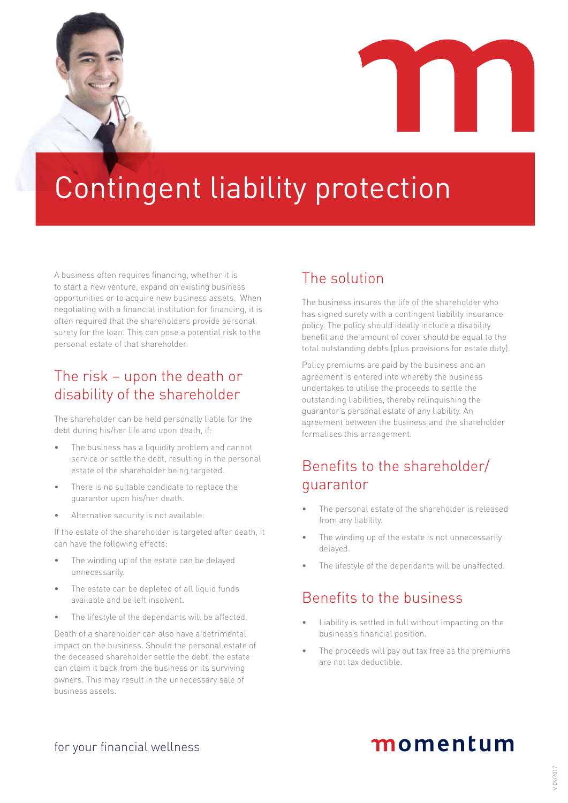

A business often requires financing, whether it is to start a new venture, expand on existing business opportunities or to acquire new business assets. When negotiating with a financial institution for financing, it is often required that the shareholders provide personal surety for the loan. This can pose a potential risk to the personal estate of that shareholder.

## The risk – upon the death or disability of the shareholder

The shareholder can be held personally liable for the debt during his/her life and upon death, if:

- The business has a liquidity problem and cannot service or settle the debt, resulting in the personal estate of the shareholder being targeted.
- There is no suitable candidate to replace the guarantor upon his/her death.
- Alternative security is not available.

If the estate of the shareholder is targeted after death, it can have the following effects:

- The winding up of the estate can be delayed unnecessarily.
- The estate can be depleted of all liquid funds available and be left insolvent.
- The lifestyle of the dependants will be affected.

Death of a shareholder can also have a detrimental impact on the business. Should the personal estate of the deceased shareholder settle the debt, the estate can claim it back from the business or its surviving owners. This may result in the unnecessary sale of business assets.

### The solution

The business insures the life of the shareholder who has signed surety with a contingent liability insurance policy. The policy should ideally include a disability benefit and the amount of cover should be equal to the total outstanding debts (plus provisions for estate duty).

Policy premiums are paid by the business and an agreement is entered into whereby the business undertakes to utilise the proceeds to settle the outstanding liabilities, thereby relinquishing the guarantor's personal estate of any liability. An agreement between the business and the shareholder formalises this arrangement.

## Benefits to the shareholder/ guarantor

- The personal estate of the shareholder is released from any liability.
- The winding up of the estate is not unnecessarily delayed.
- The lifestyle of the dependants will be unaffected.

## Benefits to the business

- Liability is settled in full without impacting on the business's financial position.
- The proceeds will pay out tax free as the premiums are not tax deductible.

# momentum

for your financial wellness